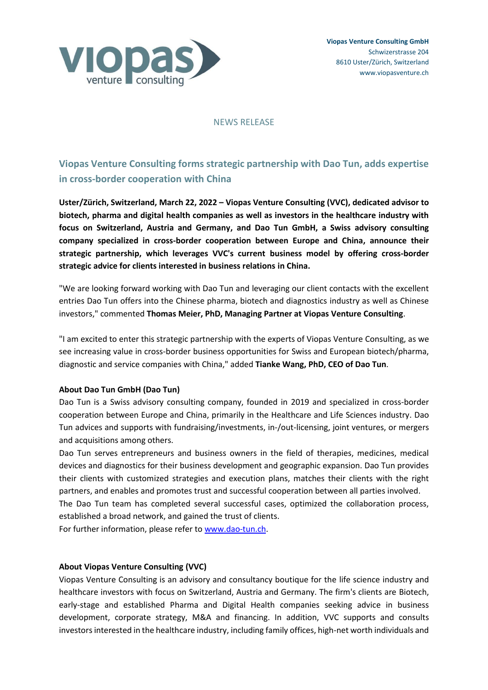

#### NEWS RELEASE

# **Viopas Venture Consulting forms strategic partnership with Dao Tun, adds expertise in cross-border cooperation with China**

**Uster/Zürich, Switzerland, March 22, 2022 – Viopas Venture Consulting (VVC), dedicated advisor to biotech, pharma and digital health companies as well as investors in the healthcare industry with focus on Switzerland, Austria and Germany, and Dao Tun GmbH, a Swiss advisory consulting company specialized in cross-border cooperation between Europe and China, announce their strategic partnership, which leverages VVC's current business model by offering cross-border strategic advice for clients interested in business relations in China.** 

"We are looking forward working with Dao Tun and leveraging our client contacts with the excellent entries Dao Tun offers into the Chinese pharma, biotech and diagnostics industry as well as Chinese investors," commented **Thomas Meier, PhD, Managing Partner at Viopas Venture Consulting**.

"I am excited to enter this strategic partnership with the experts of Viopas Venture Consulting, as we see increasing value in cross-border business opportunities for Swiss and European biotech/pharma, diagnostic and service companies with China," added **Tianke Wang, PhD, CEO of Dao Tun**.

### **About Dao Tun GmbH (Dao Tun)**

Dao Tun is a Swiss advisory consulting company, founded in 2019 and specialized in cross-border cooperation between Europe and China, primarily in the Healthcare and Life Sciences industry. Dao Tun advices and supports with fundraising/investments, in-/out-licensing, joint ventures, or mergers and acquisitions among others.

Dao Tun serves entrepreneurs and business owners in the field of therapies, medicines, medical devices and diagnostics for their business development and geographic expansion. Dao Tun provides their clients with customized strategies and execution plans, matches their clients with the right partners, and enables and promotes trust and successful cooperation between all parties involved. The Dao Tun team has completed several successful cases, optimized the collaboration process,

established a broad network, and gained the trust of clients.

For further information, please refer t[o www.dao-tun.ch.](http://www.dao-tun.ch/)

### **About Viopas Venture Consulting (VVC)**

Viopas Venture Consulting is an advisory and consultancy boutique for the life science industry and healthcare investors with focus on Switzerland, Austria and Germany. The firm's clients are Biotech, early-stage and established Pharma and Digital Health companies seeking advice in business development, corporate strategy, M&A and financing. In addition, VVC supports and consults investors interested in the healthcare industry, including family offices, high-net worth individuals and